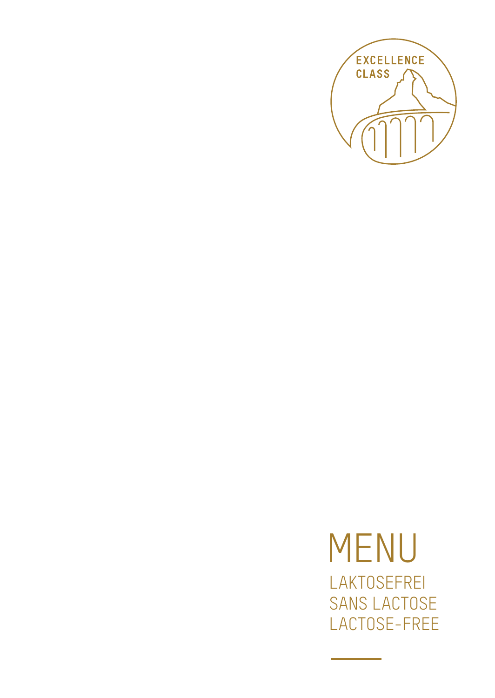

**MENU** LAKTOSEFREI **SANS LACTOSE** LACTOSE-FREE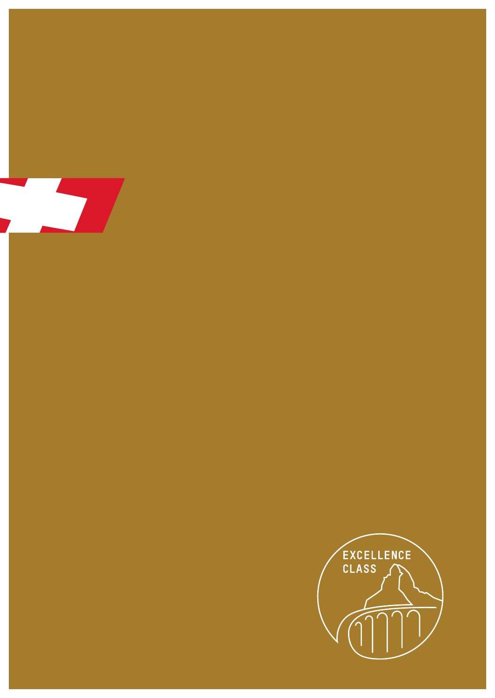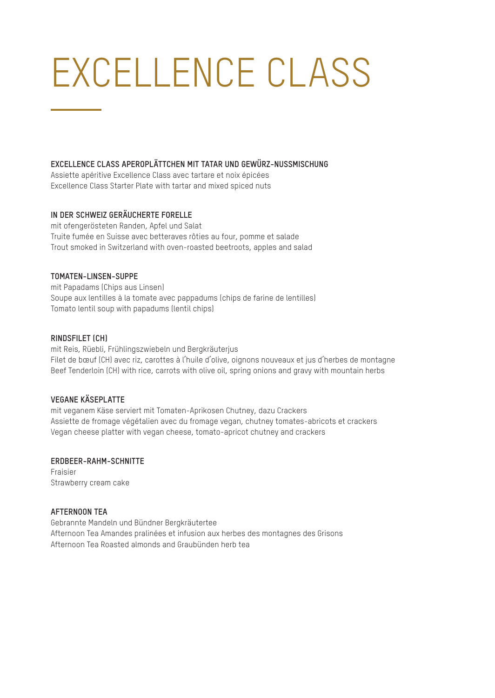# EXCELLENCE CLASS

#### **EXCELLENCE CLASS APEROPLÄTTCHEN MIT TATAR UND GEWÜRZ-NUSSMISCHUNG**

Assiette apéritive Excellence Class avec tartare et noix épicées Excellence Class Starter Plate with tartar and mixed spiced nuts

## **IN DER SCHWEIZ GERÄUCHERTE FORELLE**

mit ofengerösteten Randen, Apfel und Salat Truite fumée en Suisse avec betteraves rôties au four, pomme et salade Trout smoked in Switzerland with oven-roasted beetroots, apples and salad

### **TOMATEN-LINSEN-SUPPE**

mit Papadams (Chips aus Linsen) Soupe aux lentilles à la tomate avec pappadums (chips de farine de lentilles) Tomato lentil soup with papadums (lentil chips)

#### **RINDSFILET (CH)**

mit Reis, Rüebli, Frühlingszwiebeln und Bergkräuterjus Filet de bœuf (CH) avec riz, carottes à l'huile d'olive, oignons nouveaux et jus d'herbes de montagne Beef Tenderloin (CH) with rice, carrots with olive oil, spring onions and gravy with mountain herbs

# **VEGANE KÄSEPLATTE**

mit veganem Käse serviert mit Tomaten-Aprikosen Chutney, dazu Crackers Assiette de fromage végétalien avec du fromage vegan, chutney tomates-abricots et crackers Vegan cheese platter with vegan cheese, tomato-apricot chutney and crackers

#### **ERDBEER-RAHM-SCHNITTE**

Fraisier Strawberry cream cake

#### **AFTERNOON TEA**

Gebrannte Mandeln und Bündner Bergkräutertee Afternoon Tea Amandes pralinées et infusion aux herbes des montagnes des Grisons Afternoon Tea Roasted almonds and Graubünden herb tea